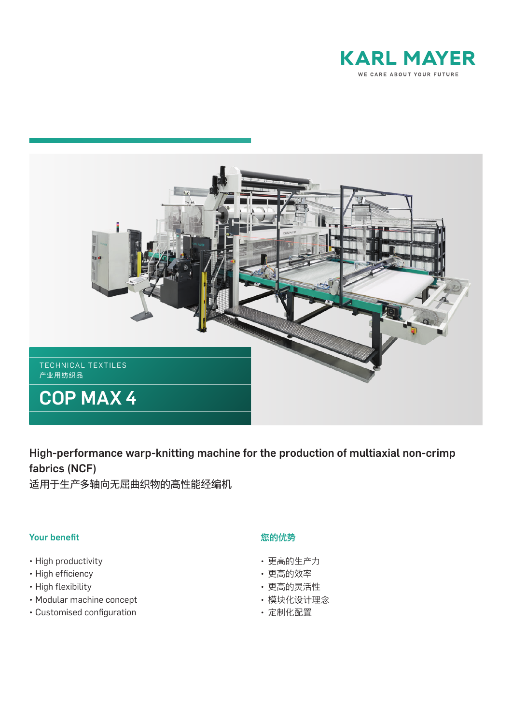



High-performance warp-knitting machine for the production of multiaxial non-crimp fabrics (NCF)

适用于生产多轴向无屈曲织物的高性能经编机

## Your benefit

- High productivity
- High efficiency
- High flexibility
- Modular machine concept
- Customised configuration

## 您的优势

- 更高的生产力
- 更高的效率
- 更高的灵活性
- 模块化设计理念
- 定制化配置